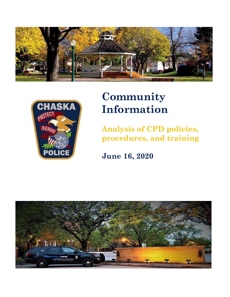



# **Community Information**

**Analysis of CPD policies, procedures, and training**

**June 16, 2020**

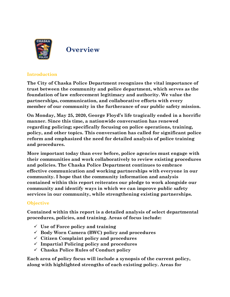

**Overview**

# **Introduction**

**The City of Chaska Police Department recognizes the vital importance of trust between the community and police department, which serves as the foundation of law enforcement legitimacy and authority. We value the partnerships, communication, and collaborative efforts with every member of our community in the furtherance of our public safety mission.** 

**On Monday, May 25, 2020, George Floyd's life tragically ended in a horrific manner. Since this time, a nationwide conversation has renewed regarding policing; specifically focusing on police operations, training, policy, and other topics. This conversation has called for significant police reform and emphasized the need for detailed analysis of police training and procedures.**

**More important today than ever before, police agencies must engage with their communities and work collaboratively to review existing procedures and policies. The Chaska Police Department continues to embrace effective communication and working partnerships with everyone in our community. I hope that the community information and analysis contained within this report reiterates our pledge to work alongside our community and identify ways in which we can improve public safety services in our community, while strengthening existing partnerships.**

# **Objective**

**Contained within this report is a detailed analysis of select departmental procedures, policies, and training. Areas of focus include:**

- ✓ **Use of Force policy and training**
- ✓ **Body Worn Camera (BWC) policy and procedures**
- ✓ **Citizen Complaint policy and procedures**
- ✓ **Impartial Policing policy and procedures**
- ✓ **Chaska Police Rules of Conduct policy**

**Each area of policy focus will include a synopsis of the current policy, along with highlighted strengths of each existing policy. Areas for**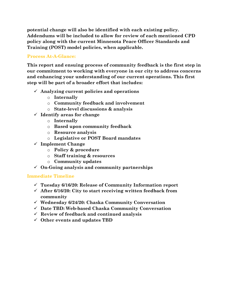**potential change will also be identified with each existing policy. Addendums will be included to allow for review of each mentioned CPD policy along with the current Minnesota Peace Officer Standards and Training (POST) model policies, when applicable.** 

# **Process At-A-Glance:**

**This report and ensuing process of community feedback is the first step in our commitment to working with everyone in our city to address concerns and enhancing your understanding of our current operations. This first step will be part of a broader effort that includes:**

- ✓ **Analyzing current policies and operations**
	- o **Internally**
	- o **Community feedback and involvement**
	- o **State-level discussions & analysis**
- ✓ **Identify areas for change**
	- o **Internally**
	- o **Based upon community feedback**
	- o **Resource analysis**
	- o **Legislative or POST Board mandates**
- ✓ **Implement Change**
	- o **Policy & procedure**
	- o **Staff training & resources**
	- o **Community updates**
- ✓ **On-Going analysis and community partnerships**

# **Immediate Timeline**

- ✓ **Tuesday 6/16/20: Release of Community Information report**
- ✓ **After 6/16/20: City to start receiving written feedback from community**
- ✓ **Wednesday 6/24/20: Chaska Community Conversation**
- ✓ **Date TBD: Web-based Chaska Community Conversation**
- ✓ **Review of feedback and continued analysis**
- ✓ **Other events and updates TBD**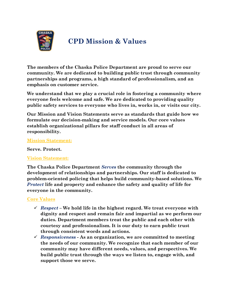

# **CPD Mission & Values**

**The members of the Chaska Police Department are proud to serve our community. We are dedicated to building public trust through community partnerships and programs, a high standard of professionalism, and an emphasis on customer service.** 

**We understand that we play a crucial role in fostering a community where everyone feels welcome and safe. We are dedicated to providing quality public safety services to everyone who lives in, works in, or visits our city.**

**Our Mission and Vision Statements serve as standards that guide how we formulate our decision-making and service models. Our core values establish organizational pillars for staff conduct in all areas of responsibility.** 

#### **Mission Statement:**

**Serve. Protect.**

#### **Vision Statement:**

**The Chaska Police Department** *Serves* **the community through the development of relationships and partnerships. Our staff is dedicated to problem-oriented policing that helps build community-based solutions. We**  *Protect* **life and property and enhance the safety and quality of life for everyone in the community.** 

#### **Core Values**

- ✓ *Respect –* **We hold life in the highest regard. We treat everyone with dignity and respect and remain fair and impartial as we perform our duties. Department members treat the public and each other with courtesy and professionalism. It is our duty to earn public trust through consistent words and actions.**
- ✓ *Responsiveness -* **As an organization, we are committed to meeting the needs of our community. We recognize that each member of our community may have different needs, values, and perspectives. We build public trust through the ways we listen to, engage with, and support those we serve.**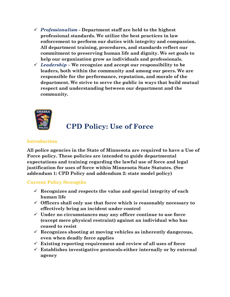- ✓ *Professionalism -* **Department staff are held to the highest professional standards. We utilize the best practices in law enforcement to perform our duties with integrity and compassion. All department training, procedures, and standards reflect our commitment to preserving human life and dignity. We set goals to help our organization grow as individuals and professionals.**
- ✓ *Leadership –* **We recognize and accept our responsibility to be leaders, both within the community and among our peers. We are responsible for the performance, reputation, and morale of the department. We strive to serve the public in ways that build mutual respect and understanding between our department and the community.**



# **CPD Policy: Use of Force**

# **Introduction**

**All police agencies in the State of Minnesota are required to have a Use of Force policy. These policies are intended to guide departmental expectations and training regarding the lawful use of force and legal justification for uses of force within Minnesota State Statutes. (See addendum 1: CPD Policy and addendum 2: state model policy)**

# **Current Policy Strengths**

- ✓ **Recognizes and respects the value and special integrity of each human life**
- ✓ **Officers shall only use that force which is reasonably necessary to effectively bring an incident under control**
- ✓ **Under no circumstances may any officer continue to use force (except mere physical restraint) against an individual who has ceased to resist**
- ✓ **Recognizes shooting at moving vehicles as inherently dangerous, even when deadly force applies**
- ✓ **Existing reporting requirement and review of all uses of force**
- ✓ **Establishes investigative protocols-either internally or by external agency**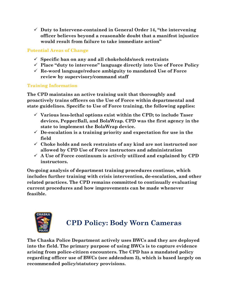✓ **Duty to Intervene-contained in General Order 14, "the intervening officer believes beyond a reasonable doubt that a manifest injustice would result from failure to take immediate action"**

# **Potential Areas of Change**

- ✓ **Specific ban on any and all chokeholds/neck restraints**
- ✓ **Place "duty to intervene" language directly into Use of Force Policy**
- ✓ **Re-word language/reduce ambiguity to mandated Use of Force review by supervisory/command staff**

# **Training Information**

**The CPD maintains an active training unit that thoroughly and proactively trains officers on the Use of Force within departmental and state guidelines. Specific to Use of Force training, the following applies:**

- ✓ **Various less-lethal options exist within the CPD; to include Taser devices, PepperBall, and BolaWrap. CPD was the first agency in the state to implement the BolaWrap device.**
- ✓ **De-escalation is a training priority and expectation for use in the field**
- ✓ **Choke holds and neck restraints of any kind are not instructed nor allowed by CPD Use of Force instructors and administration**
- ✓ **A Use of Force continuum is actively utilized and explained by CPD instructors.**

**On-going analysis of department training procedures continue, which includes further training with crisis intervention, de-escalation, and other related practices. The CPD remains committed to continually evaluating current procedures and how improvements can be made whenever feasible.** 



# **CPD Policy: Body Worn Cameras**

**The Chaska Police Department actively uses BWCs and they are deployed into the field. The primary purpose of using BWCs is to capture evidence arising from police-citizen encounters. The CPD has a mandated policy regarding officer use of BWCs (see addendum 3), which is based largely on recommended policy/statutory provisions.**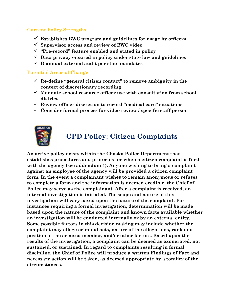### **Current Policy Strengths**

- ✓ **Establishes BWC program and guidelines for usage by officers**
- ✓ **Supervisor access and review of BWC video**
- ✓ **"Pre-record" feature enabled and stated in policy**
- ✓ **Data privacy ensured in policy under state law and guidelines**
- ✓ **Biannual external audit per state mandates**

#### **Potential Areas of Change**

- ✓ **Re-define "general citizen contact" to remove ambiguity in the context of discretionary recording**
- ✓ **Mandate school resource officer use with consultation from school district**
- ✓ **Review officer discretion to record "medical care" situations**
- ✓ **Consider formal process for video review / specific staff person**



# **CPD Policy: Citizen Complaints**

**An active policy exists within the Chaska Police Department that establishes procedures and protocols for when a citizen complaint is filed with the agency (see addendum 4). Anyone wishing to bring a complaint against an employee of the agency will be provided a citizen complaint form. In the event a complainant wishes to remain anonymous or refuses to complete a form and the information is deemed credible, the Chief of Police may serve as the complainant. After a complaint is received, an internal investigation is initiated. The scope and nature of this investigation will vary based upon the nature of the complaint. For instances requiring a formal investigation, determination will be made based upon the nature of the complaint and known facts available whether an investigation will be conducted internally or by an external entity. Some possible factors in this decision making may include whether the complaint may allege criminal acts, nature of the allegations, rank and position of the accused member, and/or other factors. Based upon the results of the investigation, a complaint can be deemed as exonerated, not sustained, or sustained. In regard to complaints resulting in formal discipline, the Chief of Police will produce a written Findings of Fact and necessary action will be taken, as deemed appropriate by a totality of the circumstances.**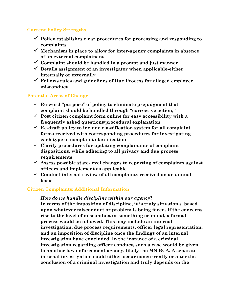# **Current Policy Strengths**

- ✓ **Policy establishes clear procedures for processing and responding to complaints**
- ✓ **Mechanism in place to allow for inter-agency complaints in absence of an external complainant**
- ✓ **Complaint should be handled in a prompt and just manner**
- ✓ **Details assignment of an investigator when applicable-either internally or externally**
- ✓ **Follows rules and guidelines of Due Process for alleged employee misconduct**

# **Potential Areas of Change**

- ✓ **Re-word "purpose" of policy to eliminate prejudgment that complaint should be handled through "corrective action,"**
- ✓ **Post citizen complaint form online for easy accessibility with a frequently asked questions/procedural explanation**
- ✓ **Re-draft policy to include classification system for all complaint forms received with corresponding procedures for investigating each type of complaint classification**
- ✓ **Clarify procedures for updating complainants of complaint dispositions, while adhering to all privacy and due process requirements**
- ✓ **Assess possible state-level changes to reporting of complaints against officers and implement as applicable**
- ✓ **Conduct internal review of all complaints received on an annual basis**

# **Citizen Complaints: Additional Information**

# *How do we handle discipline within our agency***?**

**In terms of the imposition of discipline, it is truly situational based upon whatever misconduct or problem is being faced. If the concerns rise to the level of misconduct or something criminal, a formal process would be followed. This may include an internal investigation, due process requirements, officer legal representation, and an imposition of discipline once the findings of an internal investigation have concluded. In the instance of a criminal investigation regarding officer conduct, such a case would be given to another law enforcement agency, likely the MN BCA. A separate internal investigation could either occur concurrently or after the conclusion of a criminal investigation and truly depends on the**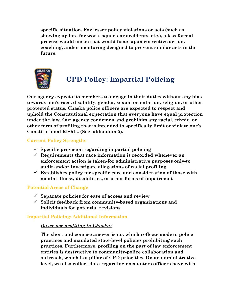**specific situation. For lesser policy violations or acts (such as showing up late for work, squad car accidents, etc.), a less formal process would ensue that would focus upon corrective action, coaching, and/or mentoring designed to prevent similar acts in the future.** 



# **CPD Policy: Impartial Policing**

**Our agency expects its members to engage in their duties without any bias towards one's race, disability, gender, sexual orientation, religion, or other protected status. Chaska police officers are expected to respect and uphold the Constitutional expectation that everyone have equal protection under the law. Our agency condemns and prohibits any racial, ethnic, or other form of profiling that is intended to specifically limit or violate one's Constitutional Rights. (See addendum 5).**

# **Current Policy Strengths**

- ✓ **Specific provision regarding impartial policing**
- ✓ **Requirements that race information is recorded whenever an enforcement action is taken-for administrative purposes only-to audit and/or investigate allegations of racial profiling**
- ✓ **Establishes policy for specific care and consideration of those with mental illness, disabilities, or other forms of impairment**

# **Potential Areas of Change**

- ✓ **Separate policies for ease of access and review**
- ✓ **Solicit feedback from community-based organizations and individuals for potential revisions**

# **Impartial Policing: Additional Information**

# *Do we use profiling in Chaska?*

**The short and concise answer is no, which reflects modern police practices and mandated state-level policies prohibiting such practices. Furthermore, profiling on the part of law enforcement entities is destructive to community-police collaboration and outreach, which is a pillar of CPD priorities. On an administrative level, we also collect data regarding encounters officers have with**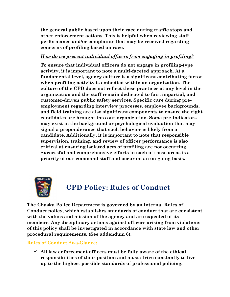**the general public based upon their race during traffic stops and other enforcement actions. This is helpful when reviewing staff performance and/or complaints that may be received regarding concerns of profiling based on race.** 

# *How do we prevent individual officers from engaging in profiling?*

**To ensure that individual officers do not engage in profiling-type activity, it is important to note a multi-faceted approach. At a fundamental level, agency culture is a significant contributing factor when profiling activity is embodied within an organization. The culture of the CPD does not reflect these practices at any level in the organization and the staff remain dedicated to fair, impartial, and customer-driven public safety services. Specific care during preemployment regarding interview processes, employee backgrounds, and field training are also significant components to ensure the right candidates are brought into our organization. Some pre-indicators may exist in the background or psychological evaluation that may signal a preponderance that such behavior is likely from a candidate. Additionally, it is important to note that responsible supervision, training, and review of officer performance is also critical at ensuring isolated acts of profiling are not occurring. Successful and comprehensive efforts in each of these areas is a priority of our command staff and occur on an on-going basis.** 



# **CPD Policy: Rules of Conduct**

**The Chaska Police Department is governed by an internal Rules of Conduct policy, which establishes standards of conduct that are consistent with the values and mission of the agency and are expected of its members. Any disciplinary actions against officers arising from violations of this policy shall be investigated in accordance with state law and other procedural requirements. (See addendum 6).** 

#### **Rules of Conduct At-a-Glance:**

✓ **All law enforcement officers must be fully aware of the ethical responsibilities of their position and must strive constantly to live up to the highest possible standards of professional policing.**